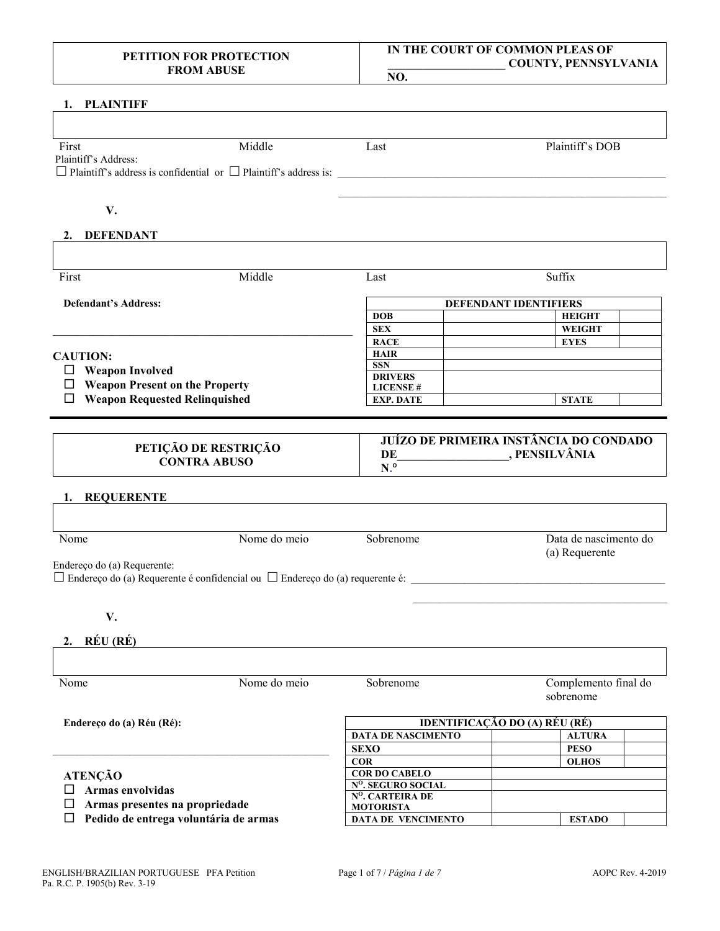# **1. PLAINTIFF**

| First                                                                        | Middle | Last | Plaintiff's DOB              |
|------------------------------------------------------------------------------|--------|------|------------------------------|
| Plaintiff's Address:                                                         |        |      |                              |
| $\Box$ Plaintiff's address is confidential or $\Box$ Plaintiff's address is: |        |      |                              |
|                                                                              |        |      |                              |
|                                                                              |        |      |                              |
| V.                                                                           |        |      |                              |
| <b>DEFENDANT</b><br>2.                                                       |        |      |                              |
|                                                                              |        |      |                              |
| First                                                                        | Middle | Last | Suffix                       |
| <b>Defendant's Address:</b>                                                  |        |      | <b>DEFENDANT IDENTIFIERS</b> |

#### **CAUTION:**

- **Weapon Involved**
- **Weapon Present on the Property**
- **Weapon Requested Relinquished**

## **PETIÇÃO DE RESTRIÇÃO CONTRA ABUSO**

\_\_\_\_\_\_\_\_\_\_\_\_\_\_\_\_\_\_\_\_\_\_\_\_\_\_\_\_\_\_\_\_\_\_\_\_\_\_\_\_\_\_\_\_\_\_\_\_\_\_\_

## **JUÍZO DE PRIMEIRA INSTÂNCIA DO CONDADO DE** PENSILVÂNIA

**N**.º

**HAIR SSN DRIVERS LICENSE #**

**DOB HEIGHT SEX WEIGHT RACE EYES**

**EXP. DATE STATE** 

#### **1. REQUERENTE**

| Nome                        | Nome do meio                                                                             | Sobrenome | Data de nascimento do<br>(a) Requerente |
|-----------------------------|------------------------------------------------------------------------------------------|-----------|-----------------------------------------|
|                             |                                                                                          |           |                                         |
| Endereço do (a) Requerente: |                                                                                          |           |                                         |
|                             | $\Box$ Endereço do (a) Requerente é confidencial ou $\Box$ Endereço do (a) requerente é: |           |                                         |
|                             |                                                                                          |           |                                         |
|                             |                                                                                          |           |                                         |

**V.**

## **2. RÉU (RÉ)**

| Nome<br>Nome do meio<br>Endereço do (a) Réu (Ré): |  | Sobrenome                     | Complemento final do<br>sobrenome |  |  |
|---------------------------------------------------|--|-------------------------------|-----------------------------------|--|--|
|                                                   |  | IDENTIFICAÇÃO DO (A) RÉU (RÉ) |                                   |  |  |
|                                                   |  | <b>DATA DE NASCIMENTO</b>     | <b>ALTURA</b>                     |  |  |
|                                                   |  | <b>SEXO</b>                   | <b>PESO</b>                       |  |  |
|                                                   |  | <b>COR</b>                    | <b>OLHOS</b>                      |  |  |
| <b>ATENÇÃO</b><br>Armas envolvidas                |  | <b>COR DO CABELO</b>          |                                   |  |  |
|                                                   |  | $N^0$ . SEGURO SOCIAL         |                                   |  |  |
|                                                   |  | $N^0$ , CARTEIRA DE           |                                   |  |  |
| Armas presentes na propriedade                    |  | <b>MOTORISTA</b>              |                                   |  |  |
| Pedido de entrega voluntária de armas             |  | <b>DATA DE VENCIMENTO</b>     | <b>ESTADO</b>                     |  |  |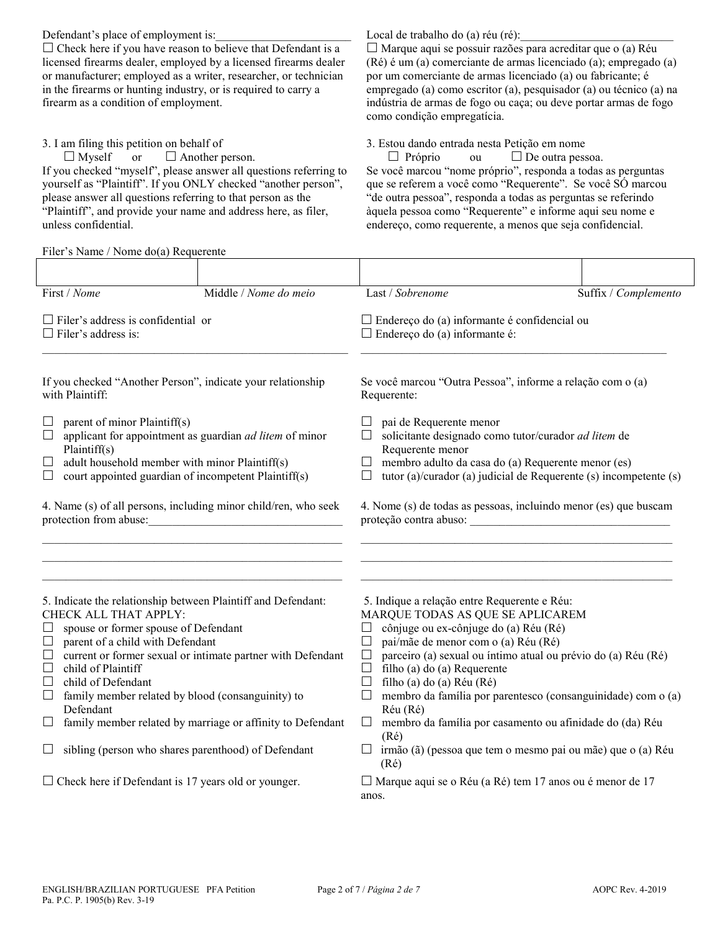Defendant's place of employment is:  $\Box$  Check here if you have reason to believe that Defendant is a licensed firearms dealer, employed by a licensed firearms dealer or manufacturer; employed as a writer, researcher, or technician in the firearms or hunting industry, or is required to carry a firearm as a condition of employment.

3. I am filing this petition on behalf of

 $\Box$  Myself or  $\Box$  Another person. If you checked "myself", please answer all questions referring to yourself as "Plaintiff". If you ONLY checked "another person", please answer all questions referring to that person as the "Plaintiff", and provide your name and address here, as filer, unless confidential.

Filer's Name / Nome do(a) Requerente

Local de trabalho do (a) réu (ré):

 $\Box$  Marque aqui se possuir razões para acreditar que o (a) Réu (Ré) é um (a) comerciante de armas licenciado (a); empregado (a) por um comerciante de armas licenciado (a) ou fabricante; é empregado (a) como escritor (a), pesquisador (a) ou técnico (a) na indústria de armas de fogo ou caça; ou deve portar armas de fogo como condição empregatícia.

3. Estou dando entrada nesta Petição em nome

 $\Box$  Próprio ou  $\Box$  De outra pessoa. Se você marcou "nome próprio", responda a todas as perguntas que se referem a você como "Requerente". Se você SÓ marcou "de outra pessoa", responda a todas as perguntas se referindo àquela pessoa como "Requerente" e informe aqui seu nome e endereço, como requerente, a menos que seja confidencial.

| First / Nome                                                                                                                                                                                                                                                                                                                                                                                                                                                                                                                                                                                                  | Middle / Nome do meio |                                                                                                                                                                                                                                                                                    | Last / Sobrenome                                                                                                                                                                                                                                                                                                                                                                                                                                                                                                                                                                                         | Suffix / Complemento |
|---------------------------------------------------------------------------------------------------------------------------------------------------------------------------------------------------------------------------------------------------------------------------------------------------------------------------------------------------------------------------------------------------------------------------------------------------------------------------------------------------------------------------------------------------------------------------------------------------------------|-----------------------|------------------------------------------------------------------------------------------------------------------------------------------------------------------------------------------------------------------------------------------------------------------------------------|----------------------------------------------------------------------------------------------------------------------------------------------------------------------------------------------------------------------------------------------------------------------------------------------------------------------------------------------------------------------------------------------------------------------------------------------------------------------------------------------------------------------------------------------------------------------------------------------------------|----------------------|
| $\Box$ Filer's address is confidential or<br>$\Box$ Filer's address is:                                                                                                                                                                                                                                                                                                                                                                                                                                                                                                                                       |                       | $\Box$ Endereço do (a) informante é confidencial ou<br>$\Box$ Endereço do (a) informante é:                                                                                                                                                                                        |                                                                                                                                                                                                                                                                                                                                                                                                                                                                                                                                                                                                          |                      |
| If you checked "Another Person", indicate your relationship<br>with Plaintiff:                                                                                                                                                                                                                                                                                                                                                                                                                                                                                                                                |                       |                                                                                                                                                                                                                                                                                    | Se você marcou "Outra Pessoa", informe a relação com o (a)<br>Requerente:                                                                                                                                                                                                                                                                                                                                                                                                                                                                                                                                |                      |
| parent of minor Plaintiff(s)<br>ப<br>applicant for appointment as guardian ad litem of minor<br>$\Box$<br>Plaintiff(s)<br>adult household member with minor Plaintiff(s)<br>$\Box$<br>court appointed guardian of incompetent Plaintiff(s)<br>⊔                                                                                                                                                                                                                                                                                                                                                               |                       | pai de Requerente menor<br>$\vert \ \ \vert$<br>solicitante designado como tutor/curador ad litem de<br>Requerente menor<br>membro adulto da casa do (a) Requerente menor (es)<br>$\Box$<br>tutor (a)/curador (a) judicial de Requerente (s) incompetente (s)<br>$\vert \ \ \vert$ |                                                                                                                                                                                                                                                                                                                                                                                                                                                                                                                                                                                                          |                      |
| 4. Name (s) of all persons, including minor child/ren, who seek<br>protection from abuse:<br><u> 1989 - Johann Barbara, martin amerikan basa</u>                                                                                                                                                                                                                                                                                                                                                                                                                                                              |                       | 4. Nome (s) de todas as pessoas, incluindo menor (es) que buscam                                                                                                                                                                                                                   |                                                                                                                                                                                                                                                                                                                                                                                                                                                                                                                                                                                                          |                      |
| 5. Indicate the relationship between Plaintiff and Defendant:<br>CHECK ALL THAT APPLY:<br>spouse or former spouse of Defendant<br>$\Box$<br>parent of a child with Defendant<br>⊔<br>current or former sexual or intimate partner with Defendant<br>$\Box$<br>child of Plaintiff<br>$\Box$<br>child of Defendant<br>$\Box$<br>family member related by blood (consanguinity) to<br>$\Box$<br>Defendant<br>family member related by marriage or affinity to Defendant<br>$\Box$<br>sibling (person who shares parenthood) of Defendant<br>$\Box$<br>$\Box$ Check here if Defendant is 17 years old or younger. |                       | $\Box$<br>$\Box$<br>$\Box$<br>$\Box$<br>$\Box$                                                                                                                                                                                                                                     | 5. Indique a relação entre Requerente e Réu:<br>MARQUE TODAS AS QUE SE APLICAREM<br>cônjuge ou ex-cônjuge do (a) Réu (Ré)<br>pai/mãe de menor com o (a) Réu (Ré)<br>parceiro (a) sexual ou íntimo atual ou prévio do (a) Réu (Ré)<br>filho (a) do (a) Requerente<br>filho (a) do (a) Réu (Ré)<br>membro da família por parentesco (consanguinidade) com o (a)<br>Réu (Ré)<br>membro da família por casamento ou afinidade do (da) Réu<br>(Ré)<br>$\Box$ irmão (ã) (pessoa que tem o mesmo pai ou mãe) que o (a) Réu<br>$(R\acute{e})$<br>$\Box$ Marque aqui se o Réu (a Ré) tem 17 anos ou é menor de 17 |                      |
|                                                                                                                                                                                                                                                                                                                                                                                                                                                                                                                                                                                                               |                       | anos.                                                                                                                                                                                                                                                                              |                                                                                                                                                                                                                                                                                                                                                                                                                                                                                                                                                                                                          |                      |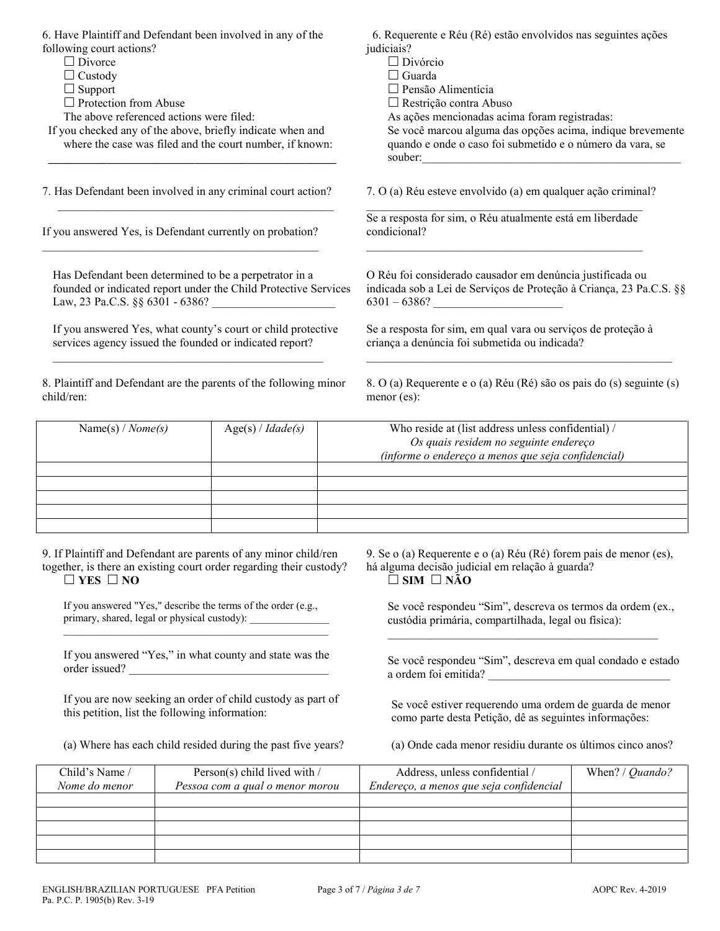| 6. Have Plaintiff and Defendant been involved in any of the<br>following court actions?<br>$\Box$ Divorce<br>$\Box$ Custody<br>$\Box$ Support<br>$\Box$ Protection from Abuse<br>The above referenced actions were filed:<br>If you checked any of the above, briefly indicate when and<br>where the case was filed and the court number, if known: |  | 6. Requerente e Réu (Ré) estão envolvidos nas seguintes ações<br>judiciais?<br>$\Box$ Divórcio<br>$\Box$ Guarda<br>□ Pensão Alimentícia<br>$\Box$ Restrição contra Abuso<br>As ações mencionadas acima foram registradas:<br>Se você marcou alguma das opções acima, indique brevemente<br>quando e onde o caso foi submetido e o número da vara, se<br>souber:<br><u> 1980 - Johann Stein, mars an deutscher Stein und der Stein und der Stein und der Stein und der Stein und der</u> |                                                                                                                   |                                                                                                                                                     |                 |
|-----------------------------------------------------------------------------------------------------------------------------------------------------------------------------------------------------------------------------------------------------------------------------------------------------------------------------------------------------|--|-----------------------------------------------------------------------------------------------------------------------------------------------------------------------------------------------------------------------------------------------------------------------------------------------------------------------------------------------------------------------------------------------------------------------------------------------------------------------------------------|-------------------------------------------------------------------------------------------------------------------|-----------------------------------------------------------------------------------------------------------------------------------------------------|-----------------|
| 7. Has Defendant been involved in any criminal court action?                                                                                                                                                                                                                                                                                        |  |                                                                                                                                                                                                                                                                                                                                                                                                                                                                                         |                                                                                                                   | 7. O (a) Réu esteve envolvido (a) em qualquer ação criminal?                                                                                        |                 |
| If you answered Yes, is Defendant currently on probation?                                                                                                                                                                                                                                                                                           |  |                                                                                                                                                                                                                                                                                                                                                                                                                                                                                         |                                                                                                                   | Se a resposta for sim, o Réu atualmente está em liberdade<br>condicional?                                                                           |                 |
| Has Defendant been determined to be a perpetrator in a                                                                                                                                                                                                                                                                                              |  | founded or indicated report under the Child Protective Services                                                                                                                                                                                                                                                                                                                                                                                                                         |                                                                                                                   | O Réu foi considerado causador em denúncia justificada ou<br>indicada sob a Lei de Serviços de Proteção à Criança, 23 Pa.C.S. §§<br>$6301 - 6386?$  |                 |
| services agency issued the founded or indicated report?                                                                                                                                                                                                                                                                                             |  | If you answered Yes, what county's court or child protective                                                                                                                                                                                                                                                                                                                                                                                                                            |                                                                                                                   | Se a resposta for sim, em qual vara ou serviços de proteção à<br>criança a denúncia foi submetida ou indicada?                                      |                 |
| 8. Plaintiff and Defendant are the parents of the following minor<br>child/ren:                                                                                                                                                                                                                                                                     |  |                                                                                                                                                                                                                                                                                                                                                                                                                                                                                         | 8. O (a) Requerente e o (a) Réu (Ré) são os pais do (s) seguinte (s)<br>menor (es):                               |                                                                                                                                                     |                 |
| Name(s) / $Nome(s)$                                                                                                                                                                                                                                                                                                                                 |  | Age(s) / Idade(s)                                                                                                                                                                                                                                                                                                                                                                                                                                                                       |                                                                                                                   | Who reside at (list address unless confidential) /<br>Os quais residem no seguinte endereço<br>(informe o endereço a menos que seja confidencial)   |                 |
|                                                                                                                                                                                                                                                                                                                                                     |  |                                                                                                                                                                                                                                                                                                                                                                                                                                                                                         |                                                                                                                   |                                                                                                                                                     |                 |
| 9. If Plaintiff and Defendant are parents of any minor child/ren<br>together, is there an existing court order regarding their custody?<br>$\Box$ YES $\Box$ NO                                                                                                                                                                                     |  |                                                                                                                                                                                                                                                                                                                                                                                                                                                                                         |                                                                                                                   | 9. Se o (a) Requerente e o (a) Réu (Ré) forem pais de menor (es),<br>há alguma decisão judicial em relação à guarda?<br>$\square$ SIM $\square$ NÃO |                 |
| If you answered "Yes," describe the terms of the order (e.g.,<br>primary, shared, legal or physical custody): ___________________________________                                                                                                                                                                                                   |  |                                                                                                                                                                                                                                                                                                                                                                                                                                                                                         | Se você respondeu "Sim", descreva os termos da ordem (ex.,<br>custódia primária, compartilhada, legal ou física): |                                                                                                                                                     |                 |
| If you answered "Yes," in what county and state was the<br>order issued?                                                                                                                                                                                                                                                                            |  | Se você respondeu "Sim", descreva em qual condado e estado<br>a ordem foi emitida?                                                                                                                                                                                                                                                                                                                                                                                                      |                                                                                                                   |                                                                                                                                                     |                 |
| this petition, list the following information:                                                                                                                                                                                                                                                                                                      |  | If you are now seeking an order of child custody as part of                                                                                                                                                                                                                                                                                                                                                                                                                             |                                                                                                                   | Se você estiver requerendo uma ordem de guarda de menor<br>como parte desta Petição, dê as seguintes informações:                                   |                 |
|                                                                                                                                                                                                                                                                                                                                                     |  | (a) Where has each child resided during the past five years?                                                                                                                                                                                                                                                                                                                                                                                                                            |                                                                                                                   | (a) Onde cada menor residiu durante os últimos cinco anos?                                                                                          |                 |
| Child's Name /<br>Nome do menor                                                                                                                                                                                                                                                                                                                     |  | Person(s) child lived with /<br>Pessoa com a qual o menor morou                                                                                                                                                                                                                                                                                                                                                                                                                         |                                                                                                                   | Address, unless confidential /<br>Endereço, a menos que seja confidencial                                                                           | When? / Quando? |
|                                                                                                                                                                                                                                                                                                                                                     |  |                                                                                                                                                                                                                                                                                                                                                                                                                                                                                         |                                                                                                                   |                                                                                                                                                     |                 |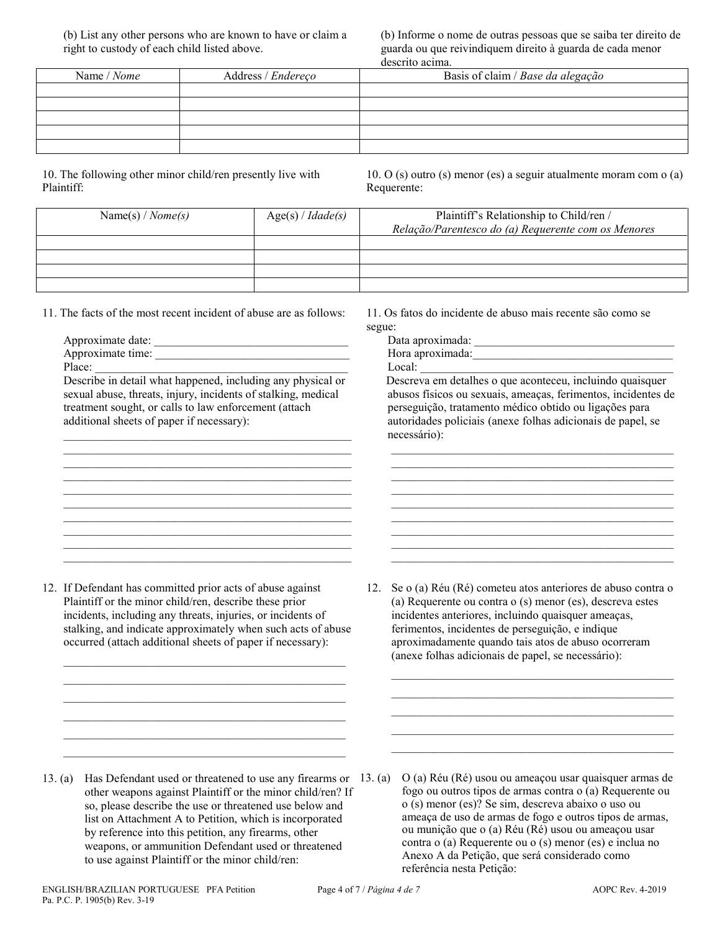(b) List any other persons who are known to have or claim a right to custody of each child listed above.

(b) Informe o nome de outras pessoas que se saiba ter direito de guarda ou que reivindiquem direito à guarda de cada menor descrito acima.

| ----------------- |                    |                                   |  |
|-------------------|--------------------|-----------------------------------|--|
| Name / Nome       | Address / Endereço | Basis of claim / Base da alegação |  |
|                   |                    |                                   |  |
|                   |                    |                                   |  |
|                   |                    |                                   |  |
|                   |                    |                                   |  |
|                   |                    |                                   |  |

10. The following other minor child/ren presently live with Plaintiff:

10. O (s) outro (s) menor (es) a seguir atualmente moram com o (a) Requerente:

| Name(s) / $Nome(s)$ | Age(s) / Idade(s) | Plaintiff's Relationship to Child/ren /<br>Relação/Parentesco do (a) Requerente com os Menores |
|---------------------|-------------------|------------------------------------------------------------------------------------------------|
|                     |                   |                                                                                                |
|                     |                   |                                                                                                |
|                     |                   |                                                                                                |

11. The facts of the most recent incident of abuse are as follows:

Approximate date:

Approximate time: Place:

Describe in detail what happened, including any physical or sexual abuse, threats, injury, incidents of stalking, medical treatment sought, or calls to law enforcement (attach additional sheets of paper if necessary):

\_\_\_\_\_\_\_\_\_\_\_\_\_\_\_\_\_\_\_\_\_\_\_\_\_\_\_\_\_\_\_\_\_\_\_\_\_\_\_\_\_\_\_\_\_\_\_\_\_ \_\_\_\_\_\_\_\_\_\_\_\_\_\_\_\_\_\_\_\_\_\_\_\_\_\_\_\_\_\_\_\_\_\_\_\_\_\_\_\_\_\_\_\_\_\_\_\_\_ \_\_\_\_\_\_\_\_\_\_\_\_\_\_\_\_\_\_\_\_\_\_\_\_\_\_\_\_\_\_\_\_\_\_\_\_\_\_\_\_\_\_\_\_\_\_\_\_\_

\_\_\_\_\_\_\_\_\_\_\_\_\_\_\_\_\_\_\_\_\_\_\_\_\_\_\_\_\_\_\_\_\_\_\_\_\_\_\_\_\_\_\_\_\_\_\_\_\_ \_\_\_\_\_\_\_\_\_\_\_\_\_\_\_\_\_\_\_\_\_\_\_\_\_\_\_\_\_\_\_\_\_\_\_\_\_\_\_\_\_\_\_\_\_\_\_\_\_ \_\_\_\_\_\_\_\_\_\_\_\_\_\_\_\_\_\_\_\_\_\_\_\_\_\_\_\_\_\_\_\_\_\_\_\_\_\_\_\_\_\_\_\_\_\_\_\_\_ \_\_\_\_\_\_\_\_\_\_\_\_\_\_\_\_\_\_\_\_\_\_\_\_\_\_\_\_\_\_\_\_\_\_\_\_\_\_\_\_\_\_\_\_\_\_\_\_\_ \_\_\_\_\_\_\_\_\_\_\_\_\_\_\_\_\_\_\_\_\_\_\_\_\_\_\_\_\_\_\_\_\_\_\_\_\_\_\_\_\_\_\_\_\_\_\_\_\_ \_\_\_\_\_\_\_\_\_\_\_\_\_\_\_\_\_\_\_\_\_\_\_\_\_\_\_\_\_\_\_\_\_\_\_\_\_\_\_\_\_\_\_\_\_\_\_\_\_

11. Os fatos do incidente de abuso mais recente são como se segue:

Data aproximada: \_\_\_\_\_\_\_\_\_\_\_\_\_\_\_\_\_\_\_\_\_\_\_\_\_\_\_\_\_\_\_\_\_\_ Hora aproximada:  $\qquad \qquad \qquad$ Local:

Descreva em detalhes o que aconteceu, incluindo quaisquer abusos físicos ou sexuais, ameaças, ferimentos, incidentes de perseguição, tratamento médico obtido ou ligações para autoridades policiais (anexe folhas adicionais de papel, se necessário):

\_\_\_\_\_\_\_\_\_\_\_\_\_\_\_\_\_\_\_\_\_\_\_\_\_\_\_\_\_\_\_\_\_\_\_\_\_\_\_\_\_\_\_\_\_\_\_\_  $\mathcal{L}_\text{max} = \{ \mathcal{L}_\text{max} \mid \mathcal{L}_\text{max} \}$ 

 $\_$  . The contribution of the contribution of  $\mathcal{L}_\mathcal{A}$ \_\_\_\_\_\_\_\_\_\_\_\_\_\_\_\_\_\_\_\_\_\_\_\_\_\_\_\_\_\_\_\_\_\_\_\_\_\_\_\_\_\_\_\_\_\_\_\_  $\_$  . The contribution of the contribution of  $\mathcal{L}_\mathcal{A}$ \_\_\_\_\_\_\_\_\_\_\_\_\_\_\_\_\_\_\_\_\_\_\_\_\_\_\_\_\_\_\_\_\_\_\_\_\_\_\_\_\_\_\_\_\_\_\_\_ \_\_\_\_\_\_\_\_\_\_\_\_\_\_\_\_\_\_\_\_\_\_\_\_\_\_\_\_\_\_\_\_\_\_\_\_\_\_\_\_\_\_\_\_\_\_\_\_ \_\_\_\_\_\_\_\_\_\_\_\_\_\_\_\_\_\_\_\_\_\_\_\_\_\_\_\_\_\_\_\_\_\_\_\_\_\_\_\_\_\_\_\_\_\_\_\_

12. If Defendant has committed prior acts of abuse against Plaintiff or the minor child/ren, describe these prior incidents, including any threats, injuries, or incidents of stalking, and indicate approximately when such acts of abuse occurred (attach additional sheets of paper if necessary):

\_\_\_\_\_\_\_\_\_\_\_\_\_\_\_\_\_\_\_\_\_\_\_\_\_\_\_\_\_\_\_\_\_\_\_\_\_\_\_\_\_\_\_\_\_\_\_\_  $\_$  . The contribution of the contribution of  $\mathcal{L}_\mathcal{A}$  $\_$  . The contribution of the contribution of  $\mathcal{L}_\mathcal{A}$ \_\_\_\_\_\_\_\_\_\_\_\_\_\_\_\_\_\_\_\_\_\_\_\_\_\_\_\_\_\_\_\_\_\_\_\_\_\_\_\_\_\_\_\_\_\_\_\_  $\_$  . The contribution of the contribution of  $\mathcal{L}_\mathcal{A}$  $\mathcal{L}_\mathcal{L}$  , and the set of the set of the set of the set of the set of the set of the set of the set of the set of the set of the set of the set of the set of the set of the set of the set of the set of the set of th 12. Se o (a) Réu (Ré) cometeu atos anteriores de abuso contra o (a) Requerente ou contra o (s) menor (es), descreva estes incidentes anteriores, incluindo quaisquer ameaças, ferimentos, incidentes de perseguição, e indique aproximadamente quando tais atos de abuso ocorreram (anexe folhas adicionais de papel, se necessário):

 $\_$  ,  $\_$  ,  $\_$  ,  $\_$  ,  $\_$  ,  $\_$  ,  $\_$  ,  $\_$  ,  $\_$  ,  $\_$  ,  $\_$  ,  $\_$  ,  $\_$  ,  $\_$  ,  $\_$  ,  $\_$  ,  $\_$  $\mathcal{L}_\text{max}$  , and the set of the set of the set of the set of the set of the set of the set of the set of the set of the set of the set of the set of the set of the set of the set of the set of the set of the set of the  $\_$  ,  $\_$  ,  $\_$  ,  $\_$  ,  $\_$  ,  $\_$  ,  $\_$  ,  $\_$  ,  $\_$  ,  $\_$  ,  $\_$  ,  $\_$  ,  $\_$  ,  $\_$  ,  $\_$  ,  $\_$  ,  $\_$  $\_$  ,  $\_$  ,  $\_$  ,  $\_$  ,  $\_$  ,  $\_$  ,  $\_$  ,  $\_$  ,  $\_$  ,  $\_$  ,  $\_$  ,  $\_$  ,  $\_$  ,  $\_$  ,  $\_$  ,  $\_$  ,  $\_$  $\mathcal{L}_\text{max}$  , and the set of the set of the set of the set of the set of the set of the set of the set of the set of the set of the set of the set of the set of the set of the set of the set of the set of the set of the

- 13. (a) Has Defendant used or threatened to use any firearms or other weapons against Plaintiff or the minor child/ren? If so, please describe the use or threatened use below and list on Attachment A to Petition, which is incorporated by reference into this petition, any firearms, other weapons, or ammunition Defendant used or threatened to use against Plaintiff or the minor child/ren:
	- $0$  (a) Réu (Ré) usou ou ameaçou usar quaisquer armas de fogo ou outros tipos de armas contra o (a) Requerente ou o (s) menor (es)? Se sim, descreva abaixo o uso ou ameaça de uso de armas de fogo e outros tipos de armas, ou munição que o (a) Réu (Ré) usou ou ameaçou usar contra o (a) Requerente ou o (s) menor (es) e inclua no Anexo A da Petição, que será considerado como referência nesta Petição: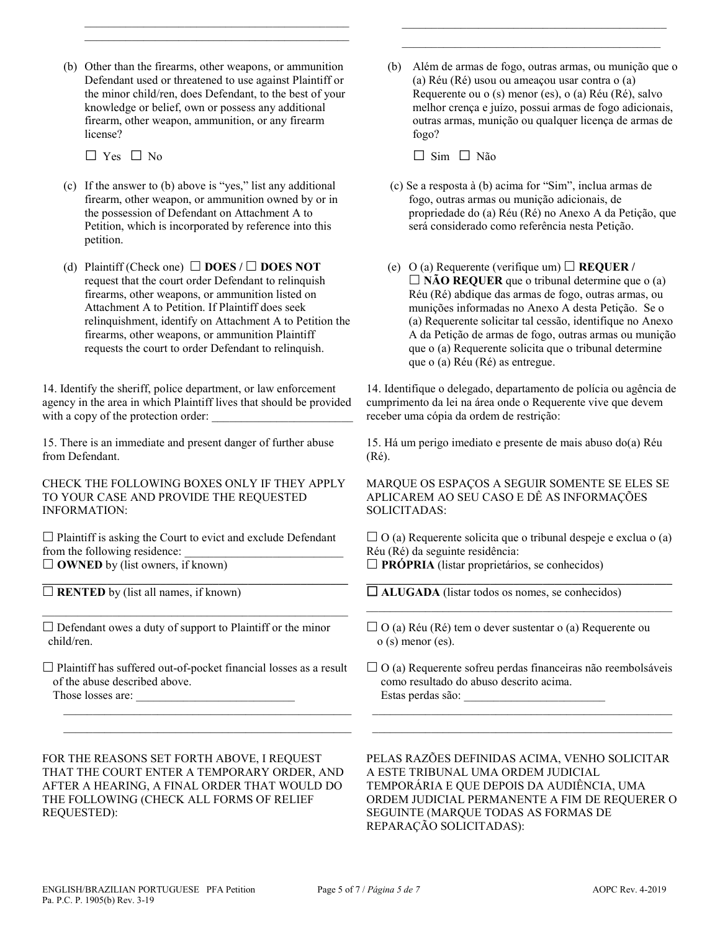(b) Other than the firearms, other weapons, or ammunition Defendant used or threatened to use against Plaintiff or the minor child/ren, does Defendant, to the best of your knowledge or belief, own or possess any additional firearm, other weapon, ammunition, or any firearm license?

 $\mathcal{L}_\text{max}$  and  $\mathcal{L}_\text{max}$  and  $\mathcal{L}_\text{max}$  and  $\mathcal{L}_\text{max}$  and  $\mathcal{L}_\text{max}$ \_\_\_\_\_\_\_\_\_\_\_\_\_\_\_\_\_\_\_\_\_\_\_\_\_\_\_\_\_\_\_\_\_\_\_\_\_\_\_\_\_\_\_\_\_

 $\Box$  Yes  $\Box$  No

- (c) If the answer to (b) above is "yes," list any additional firearm, other weapon, or ammunition owned by or in the possession of Defendant on Attachment A to Petition, which is incorporated by reference into this petition.
- (d) Plaintiff (Check one)  $\Box$  **DOES** /  $\Box$  **DOES NOT** request that the court order Defendant to relinquish firearms, other weapons, or ammunition listed on Attachment A to Petition. If Plaintiff does seek relinquishment, identify on Attachment A to Petition the firearms, other weapons, or ammunition Plaintiff requests the court to order Defendant to relinquish.

14. Identify the sheriff, police department, or law enforcement agency in the area in which Plaintiff lives that should be provided with a copy of the protection order:

15. There is an immediate and present danger of further abuse from Defendant.

CHECK THE FOLLOWING BOXES ONLY IF THEY APPLY TO YOUR CASE AND PROVIDE THE REQUESTED INFORMATION:

 $\Box$  Plaintiff is asking the Court to evict and exclude Defendant from the following residence: □ **OWNED** by (list owners, if known)

**\_\_\_\_\_\_\_\_\_\_\_\_\_\_\_\_\_\_\_\_\_\_\_\_\_\_\_\_\_\_\_\_\_\_\_\_\_\_\_\_\_\_\_\_\_\_\_\_\_\_\_\_**   $\Box$  **RENTED** by (list all names, if known)

 $\square$  Defendant owes a duty of support to Plaintiff or the minor child/ren.

\_\_\_\_\_\_\_\_\_\_\_\_\_\_\_\_\_\_\_\_\_\_\_\_\_\_\_\_\_\_\_\_\_\_\_\_\_\_\_\_\_\_\_\_\_\_\_\_\_\_\_\_

 $\Box$  Plaintiff has suffered out-of-pocket financial losses as a result of the abuse described above. Those losses are:

 $\mathcal{L}_\text{max}$  and  $\mathcal{L}_\text{max}$  and  $\mathcal{L}_\text{max}$  and  $\mathcal{L}_\text{max}$  and  $\mathcal{L}_\text{max}$  $\mathcal{L}_\text{max}$  and  $\mathcal{L}_\text{max}$  and  $\mathcal{L}_\text{max}$  and  $\mathcal{L}_\text{max}$  and  $\mathcal{L}_\text{max}$  (b) Além de armas de fogo, outras armas, ou munição que o (a) Réu (Ré) usou ou ameaçou usar contra o (a) Requerente ou o (s) menor (es), o (a) Réu (Ré), salvo melhor crença e juízo, possui armas de fogo adicionais, outras armas, munição ou qualquer licença de armas de fogo?

\_\_\_\_\_\_\_\_\_\_\_\_\_\_\_\_\_\_\_\_\_\_\_\_\_\_\_\_\_\_\_\_\_\_\_\_\_\_\_\_\_\_\_\_\_  $\mathcal{L}_\mathcal{L}$  , and the set of the set of the set of the set of the set of the set of the set of the set of the set of the set of the set of the set of the set of the set of the set of the set of the set of the set of th

□ Sim □ Não

- (c) Se a resposta à (b) acima for "Sim", inclua armas de fogo, outras armas ou munição adicionais, de propriedade do (a) Réu (Ré) no Anexo A da Petição, que será considerado como referência nesta Petição.
- (e)  $O(a)$  Requerente (verifique um)  $\Box$  **REQUER** /  $\Box$  **NÃO REQUER** que o tribunal determine que o (a) Réu (Ré) abdique das armas de fogo, outras armas, ou munições informadas no Anexo A desta Petição. Se o (a) Requerente solicitar tal cessão, identifique no Anexo A da Petição de armas de fogo, outras armas ou munição que o (a) Requerente solicita que o tribunal determine que o (a) Réu (Ré) as entregue.

14. Identifique o delegado, departamento de polícia ou agência de cumprimento da lei na área onde o Requerente vive que devem receber uma cópia da ordem de restrição:

15. Há um perigo imediato e presente de mais abuso do(a) Réu (Ré).

MARQUE OS ESPAÇOS A SEGUIR SOMENTE SE ELES SE APLICAREM AO SEU CASO E DÊ AS INFORMAÇÕES SOLICITADAS:

 $\Box$  O (a) Requerente solicita que o tribunal despeje e exclua o (a) Réu (Ré) da seguinte residência:  $\Box$  **PRÓPRIA** (listar proprietários, se conhecidos)

 $\mathcal{L}_\text{max}$  and  $\mathcal{L}_\text{max}$  and  $\mathcal{L}_\text{max}$  and  $\mathcal{L}_\text{max}$  and  $\mathcal{L}_\text{max}$ 

**\_\_\_\_\_\_\_\_\_\_\_\_\_\_\_\_\_\_\_\_\_\_\_\_\_\_\_\_\_\_\_\_\_\_\_\_\_\_\_\_\_\_\_\_\_\_\_\_\_\_\_\_ ALUGADA** (listar todos os nomes, se conhecidos)

 $\Box$  O (a) Requerente sofreu perdas financeiras não reembolsáveis como resultado do abuso descrito acima. Estas perdas são: \_\_\_\_\_\_\_\_\_\_\_\_\_\_\_\_\_\_\_\_\_\_\_\_

 $\frac{1}{2}$  ,  $\frac{1}{2}$  ,  $\frac{1}{2}$  ,  $\frac{1}{2}$  ,  $\frac{1}{2}$  ,  $\frac{1}{2}$  ,  $\frac{1}{2}$  ,  $\frac{1}{2}$  ,  $\frac{1}{2}$  ,  $\frac{1}{2}$  ,  $\frac{1}{2}$  ,  $\frac{1}{2}$  ,  $\frac{1}{2}$  ,  $\frac{1}{2}$  ,  $\frac{1}{2}$  ,  $\frac{1}{2}$  ,  $\frac{1}{2}$  ,  $\frac{1}{2}$  ,  $\frac{1$  $\frac{1}{2}$  ,  $\frac{1}{2}$  ,  $\frac{1}{2}$  ,  $\frac{1}{2}$  ,  $\frac{1}{2}$  ,  $\frac{1}{2}$  ,  $\frac{1}{2}$  ,  $\frac{1}{2}$  ,  $\frac{1}{2}$  ,  $\frac{1}{2}$  ,  $\frac{1}{2}$  ,  $\frac{1}{2}$  ,  $\frac{1}{2}$  ,  $\frac{1}{2}$  ,  $\frac{1}{2}$  ,  $\frac{1}{2}$  ,  $\frac{1}{2}$  ,  $\frac{1}{2}$  ,  $\frac{1$ 

FOR THE REASONS SET FORTH ABOVE, I REQUEST THAT THE COURT ENTER A TEMPORARY ORDER, AND AFTER A HEARING, A FINAL ORDER THAT WOULD DO THE FOLLOWING (CHECK ALL FORMS OF RELIEF REQUESTED):

PELAS RAZÕES DEFINIDAS ACIMA, VENHO SOLICITAR A ESTE TRIBUNAL UMA ORDEM JUDICIAL TEMPORÁRIA E QUE DEPOIS DA AUDIÊNCIA, UMA ORDEM JUDICIAL PERMANENTE A FIM DE REQUERER O SEGUINTE (MARQUE TODAS AS FORMAS DE REPARAÇÃO SOLICITADAS):

 $\Box$  O (a) Réu (Ré) tem o dever sustentar o (a) Requerente ou o (s) menor (es).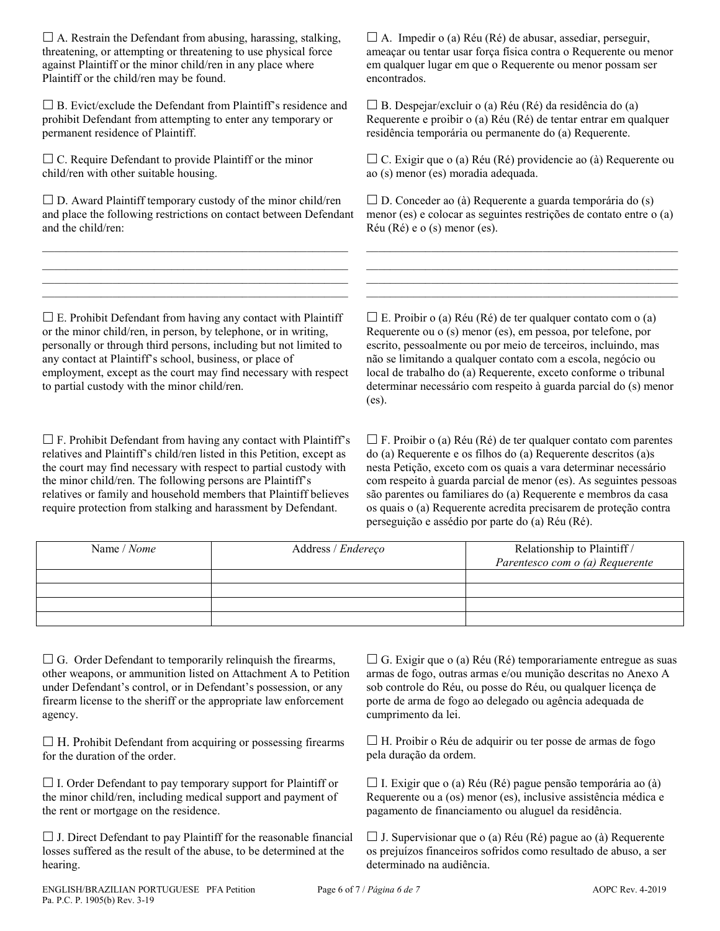$\Box$  A. Restrain the Defendant from abusing, harassing, stalking, threatening, or attempting or threatening to use physical force against Plaintiff or the minor child/ren in any place where Plaintiff or the child/ren may be found.

 $\square$  B. Evict/exclude the Defendant from Plaintiff's residence and prohibit Defendant from attempting to enter any temporary or permanent residence of Plaintiff.

 $\Box$  C. Require Defendant to provide Plaintiff or the minor child/ren with other suitable housing.

 $\square$  D. Award Plaintiff temporary custody of the minor child/ren and place the following restrictions on contact between Defendant and the child/ren:

 $\mathcal{L}_\text{max}$  and  $\mathcal{L}_\text{max}$  and  $\mathcal{L}_\text{max}$  and  $\mathcal{L}_\text{max}$  and  $\mathcal{L}_\text{max}$ \_\_\_\_\_\_\_\_\_\_\_\_\_\_\_\_\_\_\_\_\_\_\_\_\_\_\_\_\_\_\_\_\_\_\_\_\_\_\_\_\_\_\_\_\_\_\_\_\_\_\_\_  $\mathcal{L}_\text{max}$  and  $\mathcal{L}_\text{max}$  and  $\mathcal{L}_\text{max}$  and  $\mathcal{L}_\text{max}$  and  $\mathcal{L}_\text{max}$ \_\_\_\_\_\_\_\_\_\_\_\_\_\_\_\_\_\_\_\_\_\_\_\_\_\_\_\_\_\_\_\_\_\_\_\_\_\_\_\_\_\_\_\_\_\_\_\_\_\_\_\_

 $\Box$  A. Impedir o (a) Réu (Ré) de abusar, assediar, perseguir, ameaçar ou tentar usar força física contra o Requerente ou menor em qualquer lugar em que o Requerente ou menor possam ser encontrados.

 $\Box$  B. Despejar/excluir o (a) Réu (Ré) da residência do (a) Requerente e proibir o (a) Réu (Ré) de tentar entrar em qualquer residência temporária ou permanente do (a) Requerente.

 C. Exigir que o (a) Réu (Ré) providencie ao (à) Requerente ou ao (s) menor (es) moradia adequada.

 $\square$  D. Conceder ao (à) Requerente a guarda temporária do (s) menor (es) e colocar as seguintes restrições de contato entre o (a) Réu (Ré) e o (s) menor (es).

 $\mathcal{L}_\text{max}$  and  $\mathcal{L}_\text{max}$  and  $\mathcal{L}_\text{max}$  and  $\mathcal{L}_\text{max}$  and  $\mathcal{L}_\text{max}$  and  $\mathcal{L}_\text{max}$ \_\_\_\_\_\_\_\_\_\_\_\_\_\_\_\_\_\_\_\_\_\_\_\_\_\_\_\_\_\_\_\_\_\_\_\_\_\_\_\_\_\_\_\_\_\_\_\_\_\_\_\_\_  $\mathcal{L}_\text{max}$  and the set of the set of the set of the set of the set of the set of the set of the set of the set of \_\_\_\_\_\_\_\_\_\_\_\_\_\_\_\_\_\_\_\_\_\_\_\_\_\_\_\_\_\_\_\_\_\_\_\_\_\_\_\_\_\_\_\_\_\_\_\_\_\_\_\_\_

 $\square$  E. Prohibit Defendant from having any contact with Plaintiff or the minor child/ren, in person, by telephone, or in writing, personally or through third persons, including but not limited to any contact at Plaintiff's school, business, or place of employment, except as the court may find necessary with respect to partial custody with the minor child/ren.

 $\square$  F. Prohibit Defendant from having any contact with Plaintiff's relatives and Plaintiff's child/ren listed in this Petition, except as the court may find necessary with respect to partial custody with the minor child/ren. The following persons are Plaintiff's relatives or family and household members that Plaintiff believes require protection from stalking and harassment by Defendant.

 $\Box$  E. Proibir o (a) Réu (Ré) de ter qualquer contato com o (a) Requerente ou o (s) menor (es), em pessoa, por telefone, por escrito, pessoalmente ou por meio de terceiros, incluindo, mas não se limitando a qualquer contato com a escola, negócio ou local de trabalho do (a) Requerente, exceto conforme o tribunal determinar necessário com respeito à guarda parcial do (s) menor (es).

 $\Box$  F. Proibir o (a) Réu (Ré) de ter qualquer contato com parentes do (a) Requerente e os filhos do (a) Requerente descritos (a)s nesta Petição, exceto com os quais a vara determinar necessário com respeito à guarda parcial de menor (es). As seguintes pessoas são parentes ou familiares do (a) Requerente e membros da casa os quais o (a) Requerente acredita precisarem de proteção contra perseguição e assédio por parte do (a) Réu (Ré).

| Name / Nome | Address / Endereço | Relationship to Plaintiff /<br>Parentesco com o (a) Requerente |
|-------------|--------------------|----------------------------------------------------------------|
|             |                    |                                                                |
|             |                    |                                                                |
|             |                    |                                                                |
|             |                    |                                                                |

 $\Box$  G. Order Defendant to temporarily relinquish the firearms, other weapons, or ammunition listed on Attachment A to Petition under Defendant's control, or in Defendant's possession, or any firearm license to the sheriff or the appropriate law enforcement agency.

 $\Box$  H. Prohibit Defendant from acquiring or possessing firearms for the duration of the order.

 $\Box$  I. Order Defendant to pay temporary support for Plaintiff or the minor child/ren, including medical support and payment of the rent or mortgage on the residence.

 $\Box$  J. Direct Defendant to pay Plaintiff for the reasonable financial losses suffered as the result of the abuse, to be determined at the hearing.

 $\Box$  G. Exigir que o (a) Réu (Ré) temporariamente entregue as suas armas de fogo, outras armas e/ou munição descritas no Anexo A sob controle do Réu, ou posse do Réu, ou qualquer licença de porte de arma de fogo ao delegado ou agência adequada de cumprimento da lei.

 $\Box$  H. Proibir o Réu de adquirir ou ter posse de armas de fogo pela duração da ordem.

 $\Box$  I. Exigir que o (a) Réu (Ré) pague pensão temporária ao (à) Requerente ou a (os) menor (es), inclusive assistência médica e pagamento de financiamento ou aluguel da residência.

 $\Box$  J. Supervisionar que o (a) Réu (Ré) pague ao (à) Requerente os prejuízos financeiros sofridos como resultado de abuso, a ser determinado na audiência.